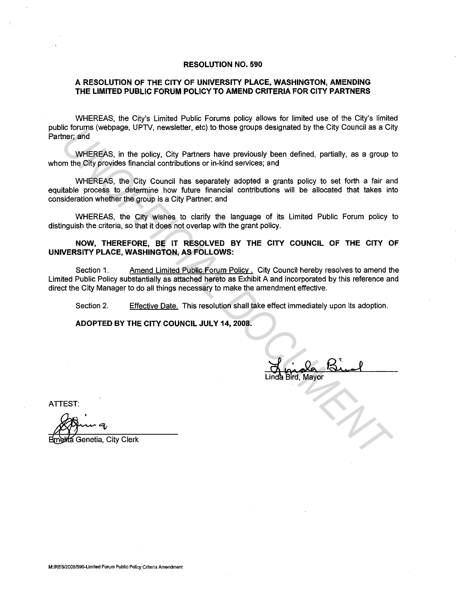### **RESOLUTION NO. 590**

# **A RESOLUTION OF THE CITY OF UNIVERSITY PLACE, WASHINGTON, AMENDING THE LIMITED PUBLIC FORUM POLICY TO AMEND CRITERIA FOR CITY PARTNERS**

WHEREAS, the City's Limited Public Forums policy allows for limited use of the City's limited public forums (webpage, UPTV, newsletter, etc) to those groups designated by the City Council as a City Partner; and

WHEREAS, in the policy, City Partners have previously been defined, partially, as a group to whom the City provides financial contributions or in-kind services; and

WHEREAS, the City Council has separately adopted a grants policy to set forth a fair and equitable process to determine how future financial contributions will be allocated that takes into consideration whether the group is a City Partner; and *UNIEREAS, in the policy, City Pattners, have groups designated by the Chy Council as a City Principal MHEREAS, in the policy, City Pattners have previously been defined, partially, as a group to the City provides financia* 

WHEREAS, the City wishes to clarify the language of its Limited Public Forum policy to distinguish the criteria, so that it does not overlap with the grant policy.

### **NOW, THEREFORE, BE IT RESOLVED BY THE CITY COUNCIL OF THE CITY OF UNIVERSITY PLACE, WASHINGTON, AS FOLLOWS:**

Section 1. Amend Limited Public Forum Policy . City Council hereby resolves to amend the Limited Public Policy substantially as attached hereto as Exhibit A and incorporated by this reference and direct the City Manager to do all things necessary to make the amendment effective.

Section 2. Effective Date. This resolution shall take effect immediately upon its adoption.

**ADOPTED BY THE CITY COUNCIL JULY 14, 2008.** 

ATTEST:

Genetia, City Clerk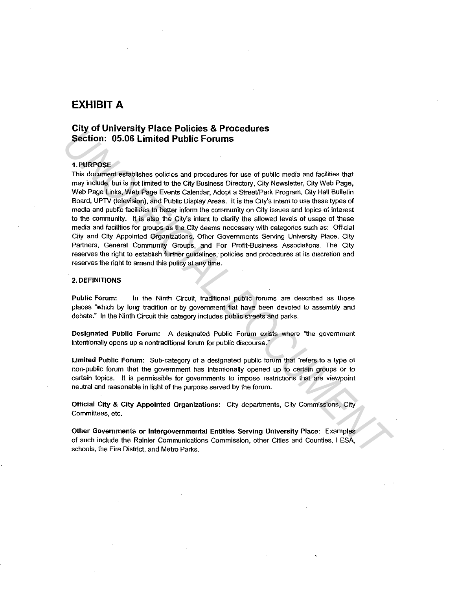# **EXHIBIT A**

# **City of University Place Policies & Procedures Section: 05.06 Limited Public Forums**

### 1.PURPOSE

This document establishes policies and procedures for use of public media and facilities that may include. but is not limited to the City Business Directory. City Newsletter, City Web Page, Web Page Links, Web Page Events Calendar, Adopt a Street/Park Program, City Hall Bulletin Board, UPTV (television), and Public Display Areas. It is the City's intent to use these types of media and public facilities to better inform the community on City issues and topics of interest to the community. It is also the City's intent to clarify the allowed levels of usage of these media and facilities for groups as the City deems necessary with categories such as: Official City and City Appointed Organizations, Other Governments Serving University Place, City Partners, General Community Groups, and For Profit-Business Associations. The City reserves the right to establish further guidelines, policies and procedures at its discretion and reserves the right to amend this policy at any time. **Crity of Our Merissity Prace Policies as Procedures**<br> **Section:** 0.5.06 Limited Public Formulas for use of public madia and facilities that<br>
This document establishes policies and procedures for use of public madia and fa

#### 2. DEFINITIONS

Public Forum: In the Ninth Circuit, traditional public forums are described as those places "which by long tradition or by government fiat have been devoted to assembly and debate." In the Ninth Circuit this category includes public streets and parks.

Designated Public Forum: A designated Public Forum exists where "the government intentionally opens up a nontraditional forum for public discourse."

Limited Public Forum: Sub-category of a designated public forum that "refers to a type of non-public forum that the government has intentionally opened up to certain groups or to **certain topics. It is permissible for governments to impose restrictions that are viewpoint**  neutral and reasonable in light of the purpose served by the forum.

Official City & City Appointed Organizations: City departments, City Commissions, City **Committees, etc.** 

Other Governments or Intergovernmental Entities Serving University Place: Examples of such include the Rainier Communications Commission, other Cities and Counties, LESA, schools, the Fire District, and Metro Parks.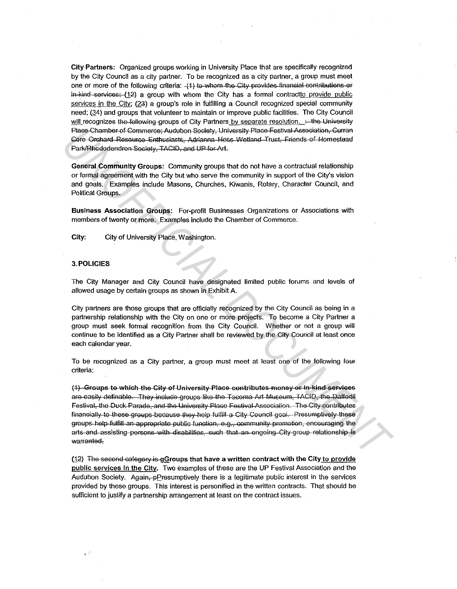City Partners: Organized groups working in University Place that are specifically recognized by the City Council as a city partner. To be recognized as a city partner, a group must meet one or more of the following criteria: -(1) to whom the City provides financial contributions or in-kind-services; (12) a group with whom the City has a formal contractto provide public services in the City; (23) a group's role in fulfilling a Council recognized special community need; (34) and groups that volunteer to maintain or improve public facilities. The City Council will recognizes the following groups of City Partners by separate resolution. : the University Place Chamber of Commerce; Audubon Society, University Place Festival Association, Curran Gere Orchard Resource Enthusiasts, Adrianna Hess Wetland Trust, Friends of Homestead Park/Rhododendron-Society, TACID, and UP for Art.

General Community Groups: Community groups that do not have a contractual relationship or formal agreement with the City but who serve the community in support of the City's vision and goals. Examples include Masons, Churches, Kiwanis, Rotary, Character Council, and Political Groups.

Business Association Groups: For-profit Businesses Organizations or Associations with members of twenty or more. Examples include the Chamber of Commerce.

City: City of University Place, Washington.

### **3. POLICIES**

 $\sim$  7

The City Manager and City Council have designated limited public forums and levels of allowed usage by certain groups as shown in Exhibit A.

City partners are those groups that are officially recognized by the City Council as being in a partnership relationship with the City on one or more projects. To become a City Partner a group must seek formal recognition from the City Council. Whether or not a group will continue to be identified as a City Partner shall be reviewed by the City Council at least once each calendar year.

To be recognized as a City partner, a group must meet at least one of the following four criteria:

(1) Groups to which the City of University Place contributes money or in kind services are easily definable. They include groups like the Tacoma Art Museum, TACID, the Daffodil Festival, the Duck Parade, and the University Place Festival Association. The City contributes financially to these groups because they help fulfill a City Council goal. Presumptively these groups help fulfill an appropriate public function, e.g., community promotion, encouraging the arts and assisting persons with disabilities, such that an engoing City group relationship is warranted.

(12) The second category is gGroups that have a written contract with the City to provide public services in the City. Two examples of these are the UP Festival Association and the Audubon Society. Again, pPresumptively there is a legitimate public interest in the services provided by these groups. This interest is personified in the written contracts. That should be sufficient to justify a partnership arrangement at least on the contract issues.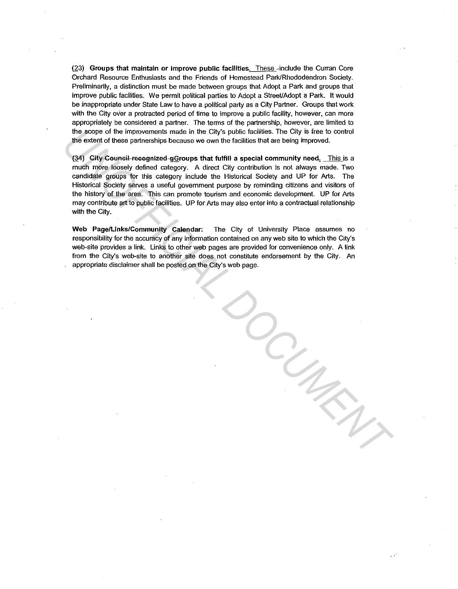(23) Groups that maintain or improve public facilities. These-include the Curran Core Orchard Resource Enthusiasts and the Friends of Homestead Park/Rhododendron Society. Preliminarily, a distinction must be made between groups that Adopt a Park and groups that improve public facilities. We permit political parties to Adopt a Street/Adopt a Park. It would be inappropriate under State Law to have a political party as a City Partner. Groups that work with the City over a protracted period of time to improve a public facility, however, can more appropriately be considered a partner. The terms of the partnership, however, are limited to the scope of the improvements made in the City's public facilities. The City is tree to control the extent of these partnerships because we own the facilities that are being improved.

(34) City Council recognized gGroups that fulfill a special community need, This is a much more loosely defined category. A direct City contribution is not always made. Two candidate groups for this category include the Historical Society and UP for Arts. The Historical Society serves a useful government purpose by reminding citizens and visitors of the history of the area. This can promote tourism and economic development. UP for Arts may contribute art to public facilities. UP for Arts may also enter into a contractual relationship with the City. the score of the improvements made in the City's public facilities. The City is free to control<br>the extent of these partnerships becaus we own the fiscilities that are being improved.<br>
(g4) CHY-Counsel-recognized-gGroups t

Web Page/Links/Community Calendar: The City of University Place assumes no responsibility for the accuracy of any information contained on any web site to which the City's web-site provides a link. Links to other web pages are provided for convenience only. A link from the City's web-site to another site does not constitute endorsement by the City. An appropriate disclaimer shall be posted on the City's web page.